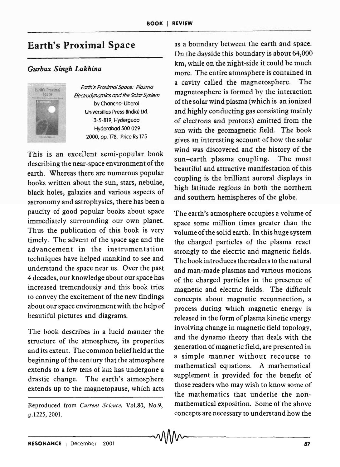## **Earth's Proximal Space**

## *Gurbax Singh Lakhina*



Earth's Proximal Space: Plasma Electrodynamics and the Solar System by Chonchol Uberoi Universities Press (Indio) ltd. 3-5-819, Hydergudo Hyderobad 500 029 2000, pp. 178, Price Rs 175

This is an excellent semi-popular book describing the near-space environment of the earth. Whereas there are numerous popular books written about the sun, stars, nebulae, black holes, galaxies and various aspects of astronomy and astrophysics, there has been a paucity of good popular books about space immediately surrounding our own planet. Thus the publication of this book is very timely. The advent of the space age and the advancement in the instrumentation techniques have helped mankind to see and understand the space near us. Over the past 4 decades, our knowledge about our space has increased tremendously and this book tries to convey the excitement of the new findings about our space environment with the help of beautiful pictures and diagrams.

The book describes in a lucid manner the structure of the atmosphere, its properties and its extent. The common beliefheld at the beginning of the century that the atmosphere extends to a few tens of km has undergone a drastic change. The earth's atmosphere extends up to the magnetopause, which acts

Reproduced from *Current Science,* VoL80, No.9, p.122S,200l.

as a boundary between the earth and space. On the dayside this boundary is about 64,000 km, while on the night-side it could be much more. The entire atmosphere is contained in a cavity called the magnetosphere. The magnetosphere is formed by the interaction of the solar wind plasma (which is an ionized and highly conducting gas consisting mainly of electrons and protons) emitted from the sun with the geomagnetic field. The book gives an interesting account of how the solar wind was discovered and the history of the sun-earth plasma coupling. The most beautiful and attractive manifestation of this coupling is the brilliant auroral displays in high latitude regions in both the northern and southern hemispheres of the globe.

The earth's atmosphere occupies a volume of space some million times greater than the volume of the solid earth. In this huge system the charged particles of the plasma react strongly to the electric and magnetic fields. The book introduces the readers to the natural and man-made plasmas and various motions of the charged particles in the presence of magnetic and electric fields. The difficult concepts about magnetic reconnection, a process during which magnetic energy is released in the form of plasma kinetic energy involving change in magnetic field topology, and the dynamo theory that deals with the generation of magnetic field, are presented in a simple manner without recourse to mathematical equations. A mathematical supplement is provided for the benefit of those readers who may wish to know some of the mathematics that underlie the nonmathematical exposition. Some of the above concepts are necessary to understand how the